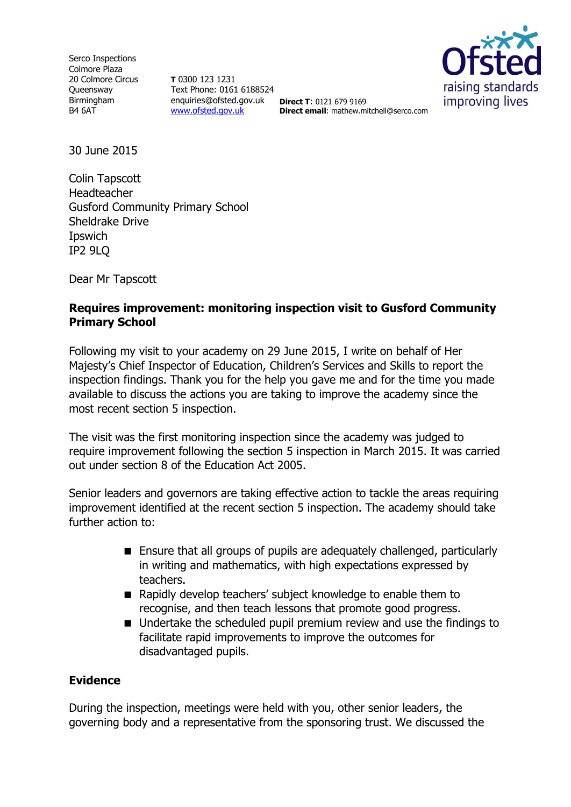Serco Inspections Colmore Plaza 20 Colmore Circus **Oueensway** Birmingham B4 6AT

**T** 0300 123 1231 Text Phone: 0161 6188524 enquiries@ofsted.gov.uk **Direct T**: 0121 679 9169 [www.ofsted.gov.uk](http://www.ofsted.gov.uk/)



**Direct email**: mathew.mitchell@serco.com

30 June 2015

Colin Tapscott Headteacher Gusford Community Primary School Sheldrake Drive **Ipswich** IP2 9LQ

Dear Mr Tapscott

## **Requires improvement: monitoring inspection visit to Gusford Community Primary School**

Following my visit to your academy on 29 June 2015, I write on behalf of Her Majesty's Chief Inspector of Education, Children's Services and Skills to report the inspection findings. Thank you for the help you gave me and for the time you made available to discuss the actions you are taking to improve the academy since the most recent section 5 inspection.

The visit was the first monitoring inspection since the academy was judged to require improvement following the section 5 inspection in March 2015. It was carried out under section 8 of the Education Act 2005.

Senior leaders and governors are taking effective action to tackle the areas requiring improvement identified at the recent section 5 inspection. The academy should take further action to:

- Ensure that all groups of pupils are adequately challenged, particularly in writing and mathematics, with high expectations expressed by teachers.
- Rapidly develop teachers' subject knowledge to enable them to recognise, and then teach lessons that promote good progress.
- Undertake the scheduled pupil premium review and use the findings to facilitate rapid improvements to improve the outcomes for disadvantaged pupils.

## **Evidence**

During the inspection, meetings were held with you, other senior leaders, the governing body and a representative from the sponsoring trust. We discussed the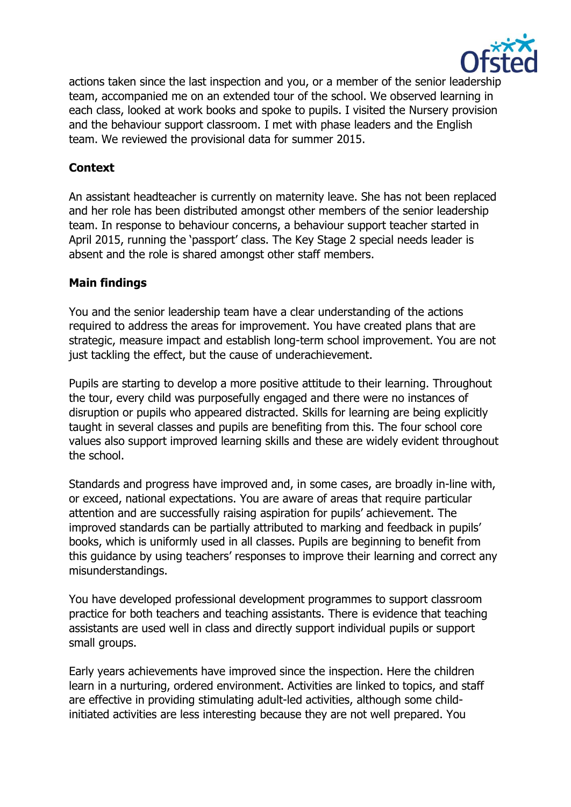

actions taken since the last inspection and you, or a member of the senior leadership team, accompanied me on an extended tour of the school. We observed learning in each class, looked at work books and spoke to pupils. I visited the Nursery provision and the behaviour support classroom. I met with phase leaders and the English team. We reviewed the provisional data for summer 2015.

# **Context**

An assistant headteacher is currently on maternity leave. She has not been replaced and her role has been distributed amongst other members of the senior leadership team. In response to behaviour concerns, a behaviour support teacher started in April 2015, running the 'passport' class. The Key Stage 2 special needs leader is absent and the role is shared amongst other staff members.

## **Main findings**

You and the senior leadership team have a clear understanding of the actions required to address the areas for improvement. You have created plans that are strategic, measure impact and establish long-term school improvement. You are not just tackling the effect, but the cause of underachievement.

Pupils are starting to develop a more positive attitude to their learning. Throughout the tour, every child was purposefully engaged and there were no instances of disruption or pupils who appeared distracted. Skills for learning are being explicitly taught in several classes and pupils are benefiting from this. The four school core values also support improved learning skills and these are widely evident throughout the school.

Standards and progress have improved and, in some cases, are broadly in-line with, or exceed, national expectations. You are aware of areas that require particular attention and are successfully raising aspiration for pupils' achievement. The improved standards can be partially attributed to marking and feedback in pupils' books, which is uniformly used in all classes. Pupils are beginning to benefit from this guidance by using teachers' responses to improve their learning and correct any misunderstandings.

You have developed professional development programmes to support classroom practice for both teachers and teaching assistants. There is evidence that teaching assistants are used well in class and directly support individual pupils or support small groups.

Early years achievements have improved since the inspection. Here the children learn in a nurturing, ordered environment. Activities are linked to topics, and staff are effective in providing stimulating adult-led activities, although some childinitiated activities are less interesting because they are not well prepared. You